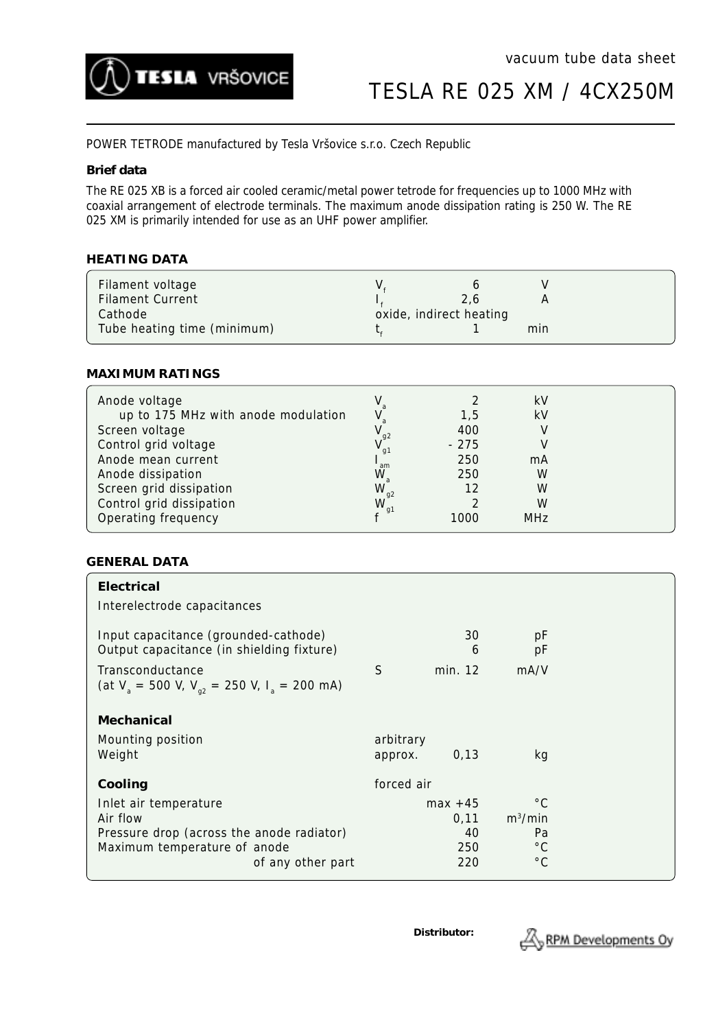

TESLA RE 025 XM / 4CX250M

POWER TETRODE manufactured by Tesla Vršovice s.r.o. Czech Republic

### **Brief data**

The RE 025 XB is a forced air cooled ceramic/metal power tetrode for frequencies up to 1000 MHz with coaxial arrangement of electrode terminals. The maximum anode dissipation rating is 250 W. The RE 025 XM is primarily intended for use as an UHF power amplifier.

### **HEATING DATA**

| Filament voltage<br><b>Filament Current</b> | 2.6                     |     |  |
|---------------------------------------------|-------------------------|-----|--|
| Cathode<br>Tube heating time (minimum)      | oxide, indirect heating | min |  |

#### **MAXIMUM RATINGS**

| Anode voltage                       |                |        | kV         |  |
|-------------------------------------|----------------|--------|------------|--|
| up to 175 MHz with anode modulation |                | 1.5    | kV         |  |
| Screen voltage                      | q <sub>2</sub> | 400    |            |  |
| Control grid voltage                | g <sub>1</sub> | $-275$ |            |  |
| Anode mean current                  | am             | 250    | mA         |  |
| Anode dissipation                   | W              | 250    | W          |  |
| Screen grid dissipation             | $W_{g2}$       | 12     | W          |  |
| Control grid dissipation            | W              |        | W          |  |
| Operating frequency                 |                | 1000   | <b>MHz</b> |  |

## **GENERAL DATA**

| Electrical<br>Interelectrode capacitances                                                      |                      |                  |                                    |  |
|------------------------------------------------------------------------------------------------|----------------------|------------------|------------------------------------|--|
| Input capacitance (grounded-cathode)<br>Output capacitance (in shielding fixture)              |                      | 30<br>6          | pF<br>рF                           |  |
| Transconductance<br>(at $V_a = 500$ V, $V_{a2} = 250$ V, $I_a = 200$ mA)                       | S                    | min. 12          | mA/V                               |  |
| Mechanical                                                                                     |                      |                  |                                    |  |
| Mounting position<br>Weight                                                                    | arbitrary<br>approx. | 0,13             | kg                                 |  |
| Cooling                                                                                        | forced air           |                  |                                    |  |
| Inlet air temperature<br>Air flow                                                              | $max +45$<br>0,11    |                  | $^{\circ}$ C<br>$m^3/m$ in         |  |
| Pressure drop (across the anode radiator)<br>Maximum temperature of anode<br>of any other part |                      | 40<br>250<br>220 | Pa<br>$^{\circ}$ C<br>$^{\circ}$ C |  |

**Distributor:**

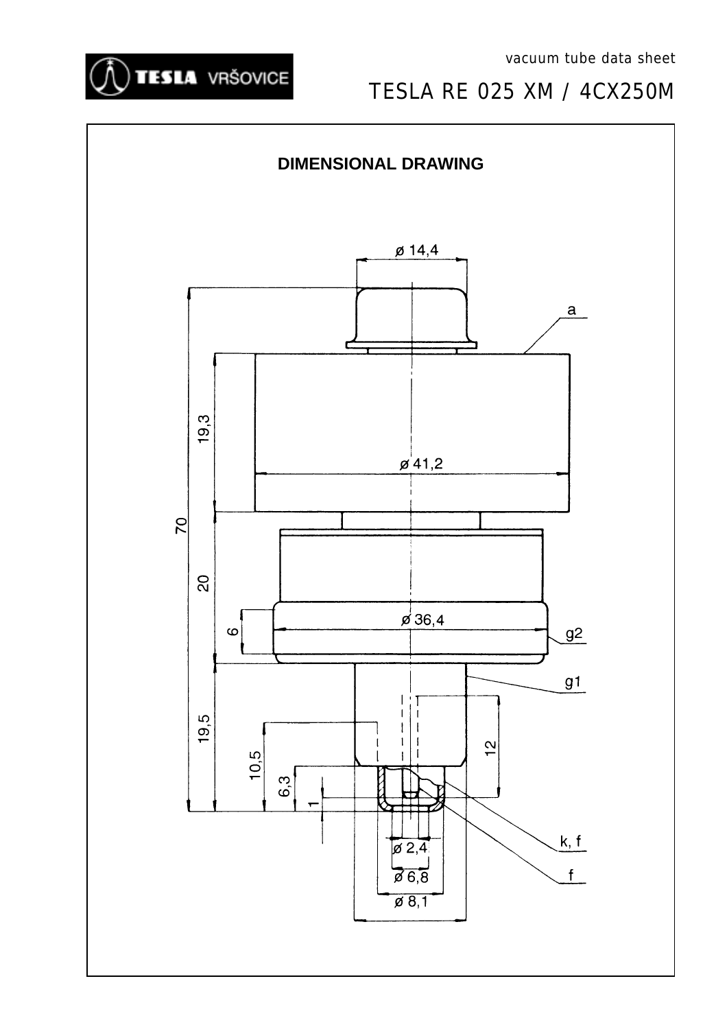

# TESLA RE 025 XM / 4CX250M